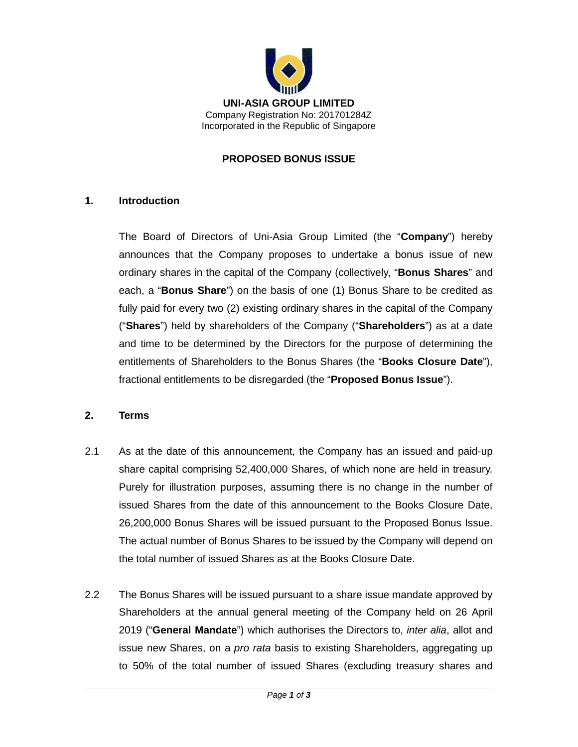

#### **PROPOSED BONUS ISSUE**

#### **1. Introduction**

The Board of Directors of Uni-Asia Group Limited (the "**Company**") hereby announces that the Company proposes to undertake a bonus issue of new ordinary shares in the capital of the Company (collectively, "**Bonus Shares**" and each, a "**Bonus Share**") on the basis of one (1) Bonus Share to be credited as fully paid for every two (2) existing ordinary shares in the capital of the Company ("**Shares**") held by shareholders of the Company ("**Shareholders**") as at a date and time to be determined by the Directors for the purpose of determining the entitlements of Shareholders to the Bonus Shares (the "**Books Closure Date**"), fractional entitlements to be disregarded (the "**Proposed Bonus Issue**").

## **2. Terms**

- 2.1 As at the date of this announcement, the Company has an issued and paid-up share capital comprising 52,400,000 Shares, of which none are held in treasury. Purely for illustration purposes, assuming there is no change in the number of issued Shares from the date of this announcement to the Books Closure Date, 26,200,000 Bonus Shares will be issued pursuant to the Proposed Bonus Issue. The actual number of Bonus Shares to be issued by the Company will depend on the total number of issued Shares as at the Books Closure Date.
- 2.2 The Bonus Shares will be issued pursuant to a share issue mandate approved by Shareholders at the annual general meeting of the Company held on 26 April 2019 ("**General Mandate**") which authorises the Directors to, *inter alia*, allot and issue new Shares, on a *pro rata* basis to existing Shareholders, aggregating up to 50% of the total number of issued Shares (excluding treasury shares and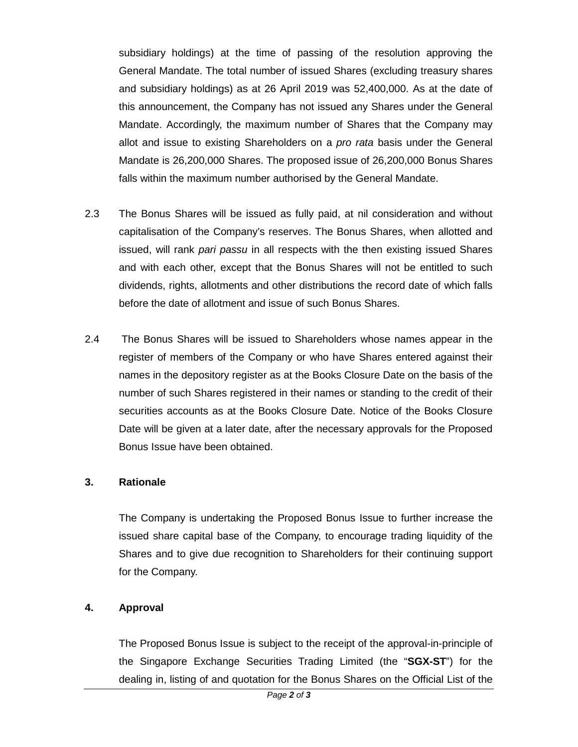subsidiary holdings) at the time of passing of the resolution approving the General Mandate. The total number of issued Shares (excluding treasury shares and subsidiary holdings) as at 26 April 2019 was 52,400,000. As at the date of this announcement, the Company has not issued any Shares under the General Mandate. Accordingly, the maximum number of Shares that the Company may allot and issue to existing Shareholders on a *pro rata* basis under the General Mandate is 26,200,000 Shares. The proposed issue of 26,200,000 Bonus Shares falls within the maximum number authorised by the General Mandate.

- 2.3 The Bonus Shares will be issued as fully paid, at nil consideration and without capitalisation of the Company's reserves. The Bonus Shares, when allotted and issued, will rank *pari passu* in all respects with the then existing issued Shares and with each other, except that the Bonus Shares will not be entitled to such dividends, rights, allotments and other distributions the record date of which falls before the date of allotment and issue of such Bonus Shares.
- 2.4 The Bonus Shares will be issued to Shareholders whose names appear in the register of members of the Company or who have Shares entered against their names in the depository register as at the Books Closure Date on the basis of the number of such Shares registered in their names or standing to the credit of their securities accounts as at the Books Closure Date. Notice of the Books Closure Date will be given at a later date, after the necessary approvals for the Proposed Bonus Issue have been obtained.

## **3. Rationale**

The Company is undertaking the Proposed Bonus Issue to further increase the issued share capital base of the Company, to encourage trading liquidity of the Shares and to give due recognition to Shareholders for their continuing support for the Company.

## **4. Approval**

The Proposed Bonus Issue is subject to the receipt of the approval-in-principle of the Singapore Exchange Securities Trading Limited (the "**SGX-ST**") for the dealing in, listing of and quotation for the Bonus Shares on the Official List of the